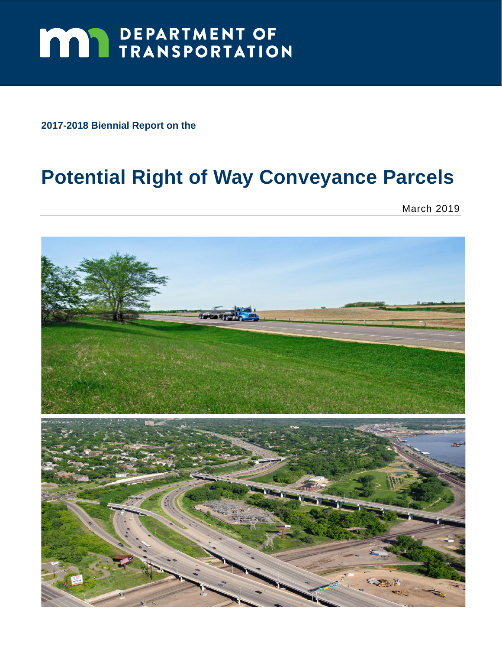# **MAY DEPARTMENT OF TRANSPORTATION**

**2017-2018 Biennial Report on the** 

# **Potential Right of Way Conveyance Parcels**

March 2019

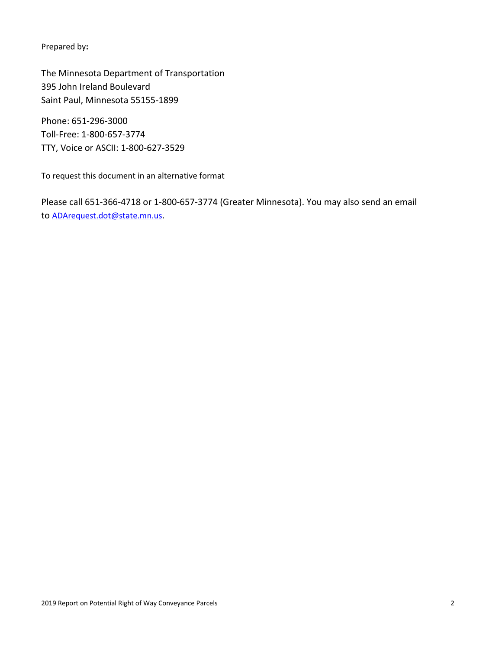Prepared by**:** 

 The Minnesota Department of Transportation 395 John Ireland Boulevard Saint Paul, Minnesota 55155-1899

Phone: 651-296-3000 Toll-Free: 1-800-657-3774 TTY, Voice or ASCII: 1-800-627-3529

To request this document in an alternative format

Please call 651-366-4718 or 1-800-657-3774 (Greater Minnesota). You may also send an email to ADArequest.dot@state.mn.us.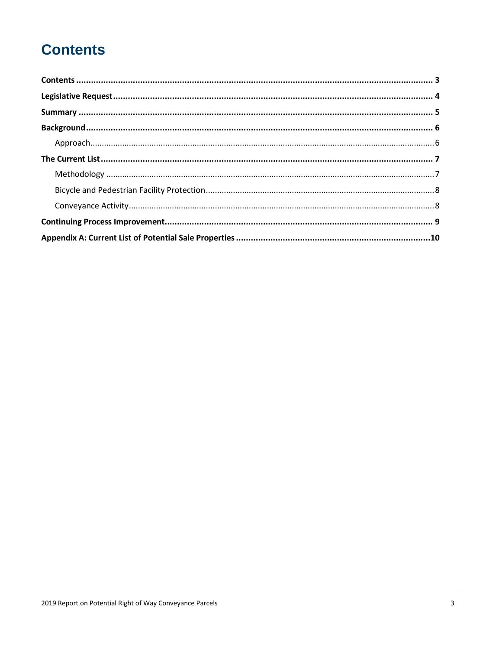# **Contents**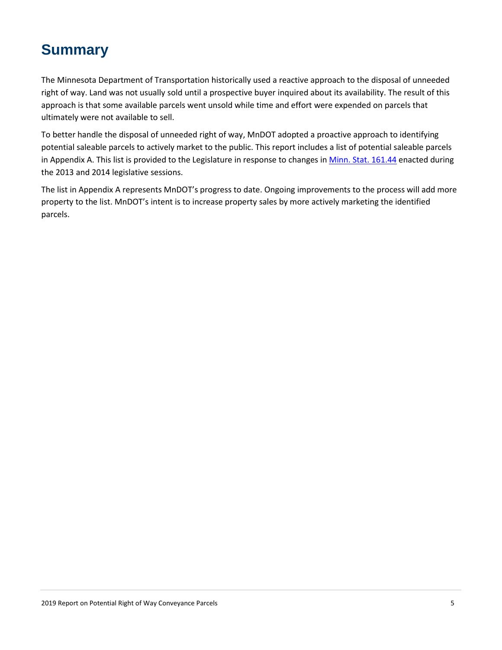# **Summary**

 approach is that some available parcels went unsold while time and effort were expended on parcels that The Minnesota Department of Transportation historically used a reactive approach to the disposal of unneeded right of way. Land was not usually sold until a prospective buyer inquired about its availability. The result of this ultimately were not available to sell.

 To better handle the disposal of unneeded right of way, MnDOT adopted a proactive approach to identifying potential saleable parcels to actively market to the public. This report includes a list of potential saleable parcels in Appendix A. This list is provided to the Legislature in response to changes in Minn. Stat. 161.44 enacted during the 2013 and 2014 legislative sessions.

The list in Appendix A represents MnDOT's progress to date. Ongoing improvements to the process will add more property to the list. MnDOT's intent is to increase property sales by more actively marketing the identified parcels.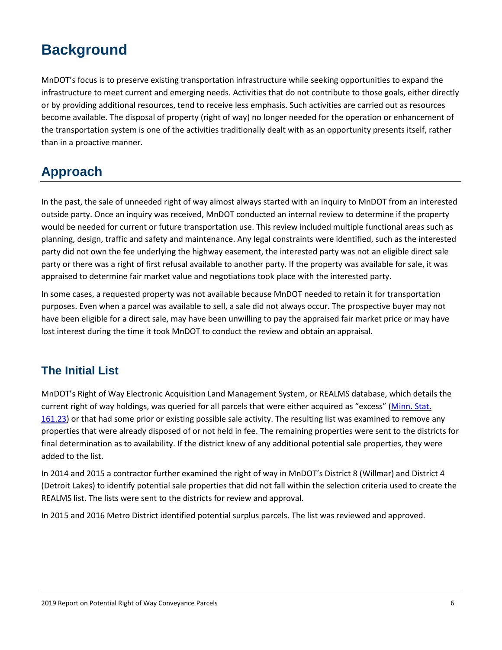## **Background**

 MnDOT's focus is to preserve existing transportation infrastructure while seeking opportunities to expand the the transportation system is one of the activities traditionally dealt with as an opportunity presents itself, rather infrastructure to meet current and emerging needs. Activities that do not contribute to those goals, either directly or by providing additional resources, tend to receive less emphasis. Such activities are carried out as resources become available. The disposal of property (right of way) no longer needed for the operation or enhancement of than in a proactive manner.

### **Approach**

 In the past, the sale of unneeded right of way almost always started with an inquiry to MnDOT from an interested party did not own the fee underlying the highway easement, the interested party was not an eligible direct sale outside party. Once an inquiry was received, MnDOT conducted an internal review to determine if the property would be needed for current or future transportation use. This review included multiple functional areas such as planning, design, traffic and safety and maintenance. Any legal constraints were identified, such as the interested party or there was a right of first refusal available to another party. If the property was available for sale, it was appraised to determine fair market value and negotiations took place with the interested party.

 purposes. Even when a parcel was available to sell, a sale did not always occur. The prospective buyer may not have been eligible for a direct sale, may have been unwilling to pay the appraised fair market price or may have lost interest during the time it took MnDOT to conduct the review and obtain an appraisal. In some cases, a requested property was not available because MnDOT needed to retain it for transportation

#### **The Initial List**

 final determination as to availability. If the district knew of any additional potential sale properties, they were MnDOT's Right of Way Electronic Acquisition Land Management System, or REALMS database, which details the current right of way holdings, was queried for all parcels that were either acquired as "excess" (Minn. Stat. 161.23) or that had some prior or existing possible sale activity. The resulting list was examined to remove any properties that were already disposed of or not held in fee. The remaining properties were sent to the districts for added to the list.

 In 2014 and 2015 a contractor further examined the right of way in MnDOT's District 8 (Willmar) and District 4 REALMS list. The lists were sent to the districts for review and approval. (Detroit Lakes) to identify potential sale properties that did not fall within the selection criteria used to create the

In 2015 and 2016 Metro District identified potential surplus parcels. The list was reviewed and approved.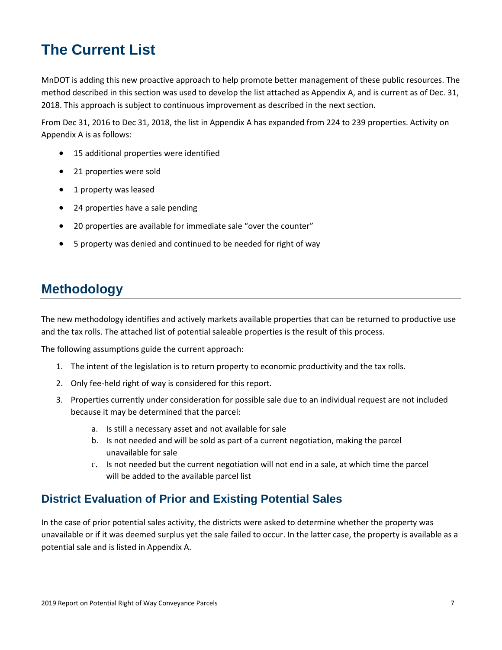# **The Current List**

 MnDOT is adding this new proactive approach to help promote better management of these public resources. The method described in this section was used to develop the list attached as Appendix A, and is current as of Dec. 31, 2018. This approach is subject to continuous improvement as described in the next section.

From Dec 31, 2016 to Dec 31, 2018, the list in Appendix A has expanded from 224 to 239 properties. Activity on Appendix A is as follows:

- 15 additional properties were identified
- 21 properties were sold
- 1 property was leased
- 24 properties have a sale pending
- 20 properties are available for immediate sale "over the counter"
- 5 property was denied and continued to be needed for right of way

#### **Methodology**

 The new methodology identifies and actively markets available properties that can be returned to productive use and the tax rolls. The attached list of potential saleable properties is the result of this process. The following assumptions guide the current approach:

- 1. The intent of the legislation is to return property to economic productivity and the tax rolls.<br>2. Only fee-held right of way is considered for this report.
- 
- 3. Properties currently under consideration for possible sale due to an individual request are not included because it may be determined that the parcel:
	- a. Is still a necessary asset and not available for sale
	- b. Is not needed and will be sold as part of a current negotiation, making the parcel unavailable for sale
	- c. Is not needed but the current negotiation will not end in a sale, at which time the parcel will be added to the available parcel list

#### **District Evaluation of Prior and Existing Potential Sales**

 In the case of prior potential sales activity, the districts were asked to determine whether the property was potential sale and is listed in Appendix A. unavailable or if it was deemed surplus yet the sale failed to occur. In the latter case, the property is available as a potential sale and is listed in Appendix A.<br>2019 Report on Potential Right of Way Conveyance Parcels 7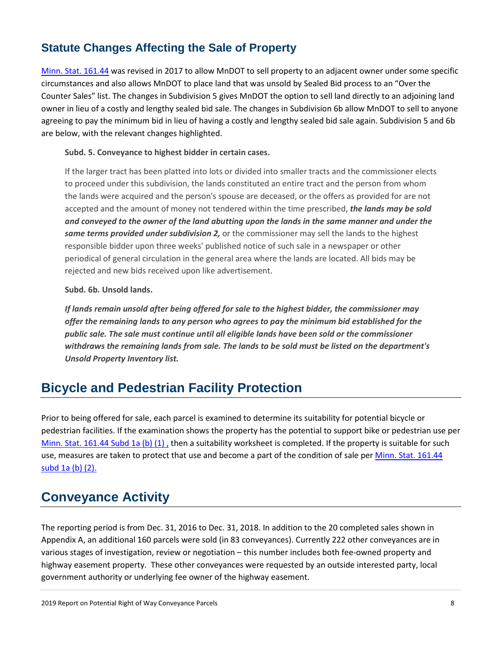#### **Statute Changes Affecting the Sale of Property**

 Counter Sales" list. The changes in Subdivision 5 gives MnDOT the option to sell land directly to an adjoining land owner in lieu of a costly and lengthy sealed bid sale. The changes in Subdivision 6b allow MnDOT to sell to anyone agreeing to pay the minimum bid in lieu of having a costly and lengthy sealed bid sale again. Subdivision 5 and 6b Minn. Stat. 161.44 was revised in 2017 to allow MnDOT to sell property to an adjacent owner under some specific circumstances and also allows MnDOT to place land that was unsold by Sealed Bid process to an "Over the are below, with the relevant changes highlighted.

#### **Subd. 5. Conveyance to highest bidder in certain cases.**

 If the larger tract has been platted into lots or divided into smaller tracts and the commissioner elects  *and conveyed to the owner of the land abutting upon the lands in the same manner and under the*  to proceed under this subdivision, the lands constituted an entire tract and the person from whom the lands were acquired and the person's spouse are deceased, or the offers as provided for are not accepted and the amount of money not tendered within the time prescribed, *the lands may be sold same terms provided under subdivision 2,* or the commissioner may sell the lands to the highest responsible bidder upon three weeks' published notice of such sale in a newspaper or other periodical of general circulation in the general area where the lands are located. All bids may be rejected and new bids received upon like advertisement.

#### **Subd. 6b. Unsold lands.**

 *If lands remain unsold after being offered for sale to the highest bidder, the commissioner may offer the remaining lands to any person who agrees to pay the minimum bid established for the withdraws the remaining lands from sale. The lands to be sold must be listed on the department's public sale. The sale must continue until all eligible lands have been sold or the commissioner Unsold Property Inventory list.* 

#### **Bicycle and Pedestrian Facility Protection**

 pedestrian facilities. If the examination shows the property has the potential to support bike or pedestrian use per use, measures are taken to protect that use and become a part of the condition of sale per *Minn. Stat. 161.44* Prior to being offered for sale, each parcel is examined to determine its suitability for potential bicycle or Minn. Stat. 161.44 Subd 1a (b) (1), then a suitability worksheet is completed. If the property is suitable for such subd 1a (b) (2).

#### **Conveyance Activity**

 The reporting period is from Dec. 31, 2016 to Dec. 31, 2018. In addition to the 20 completed sales shown in various stages of investigation, review or negotiation – this number includes both fee-owned property and government authority or underlying fee owner of the highway easement. Appendix A, an additional 160 parcels were sold (in 83 conveyances). Currently 222 other conveyances are in highway easement property. These other conveyances were requested by an outside interested party, local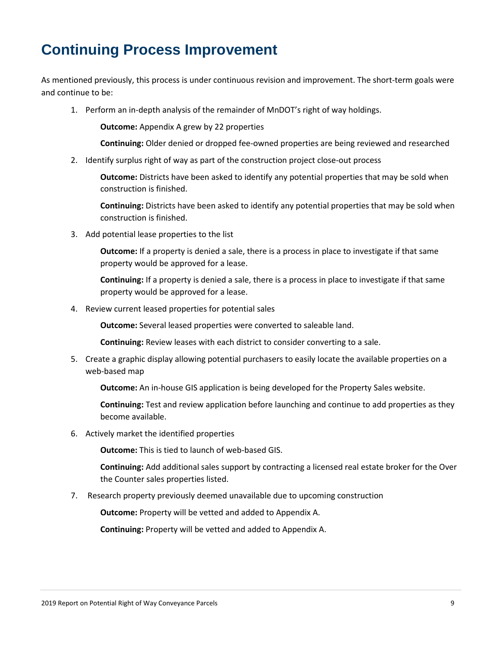# **Continuing Process Improvement**

As mentioned previously, this process is under continuous revision and improvement. The short-term goals were and continue to be:

1. Perform an in-depth analysis of the remainder of MnDOT's right of way holdings.

**Outcome:** Appendix A grew by 22 properties

**Continuing:** Older denied or dropped fee-owned properties are being reviewed and researched<br>2. Identify surplus right of way as part of the construction project close-out process 2. Identify surplus right of way as part of the construction project close-out process

**Outcome:** Districts have been asked to identify any potential properties that may be sold when construction is finished.

 **Continuing:** Districts have been asked to identify any potential properties that may be sold when construction is finished.

3. Add potential lease properties to the list

 property would be approved for a lease. **Outcome:** If a property is denied a sale, there is a process in place to investigate if that same

 property would be approved for a lease. **Continuing:** If a property is denied a sale, there is a process in place to investigate if that same

4. Review current leased properties for potential sales

**Outcome:** Several leased properties were converted to saleable land.

**Continuing:** Review leases with each district to consider converting to a sale.

 5. Create a graphic display allowing potential purchasers to easily locate the available properties on a web-based map

**Outcome:** An in-house GIS application is being developed for the Property Sales website.

**Continuing:** Test and review application before launching and continue to add properties as they become available.

6. Actively market the identified properties

**Outcome:** This is tied to launch of web-based GIS.

 **Continuing:** Add additional sales support by contracting a licensed real estate broker for the Over the Counter sales properties listed.

7. Research property previously deemed unavailable due to upcoming construction

**Outcome:** Property will be vetted and added to Appendix A.

**Continuing:** Property will be vetted and added to Appendix A.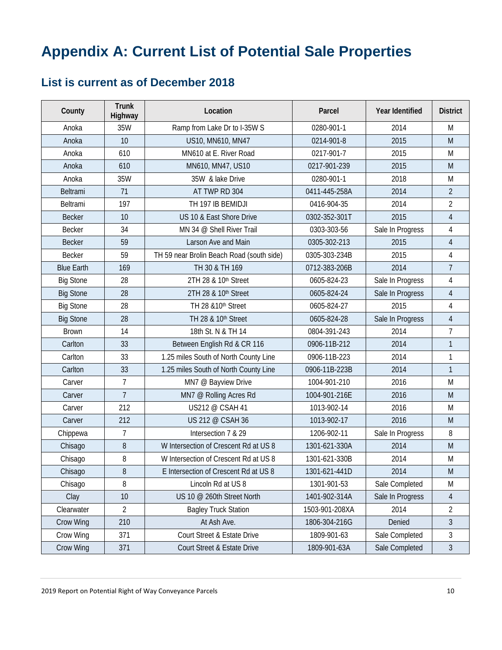# **Appendix A: Current List of Potential Sale Properties**

#### **List is current as of December 2018**

| County            | <b>Trunk</b><br>Highway | Location                                  | Parcel         | Year Identified  | <b>District</b> |
|-------------------|-------------------------|-------------------------------------------|----------------|------------------|-----------------|
| Anoka             | 35W                     | Ramp from Lake Dr to I-35W S              | 0280-901-1     | 2014             | M               |
| Anoka             | 10                      | US10, MN610, MN47                         | 0214-901-8     | 2015             | M               |
| Anoka             | 610                     | MN610 at E. River Road                    | 0217-901-7     | 2015             | M               |
| Anoka             | 610                     | MN610, MN47, US10                         | 0217-901-239   | 2015             | M               |
| Anoka             | 35W                     | 35W & lake Drive                          | 0280-901-1     | 2018             | M               |
| Beltrami          | 71                      | AT TWP RD 304                             | 0411-445-258A  | 2014             | $\overline{2}$  |
| Beltrami          | 197                     | TH 197 IB BEMIDJI                         | 0416-904-35    | 2014             | $\overline{2}$  |
| <b>Becker</b>     | 10                      | US 10 & East Shore Drive                  | 0302-352-301T  | 2015             | $\overline{4}$  |
| <b>Becker</b>     | 34                      | MN 34 @ Shell River Trail                 | 0303-303-56    | Sale In Progress | $\overline{4}$  |
| <b>Becker</b>     | 59                      | Larson Ave and Main                       | 0305-302-213   | 2015             | $\overline{4}$  |
| Becker            | 59                      | TH 59 near Brolin Beach Road (south side) | 0305-303-234B  | 2015             | $\overline{4}$  |
| <b>Blue Earth</b> | 169                     | TH 30 & TH 169                            | 0712-383-206B  | 2014             | $\overline{7}$  |
| <b>Big Stone</b>  | 28                      | 2TH 28 & 10th Street                      | 0605-824-23    | Sale In Progress | $\overline{4}$  |
| <b>Big Stone</b>  | 28                      | 2TH 28 & 10 <sup>th</sup> Street          | 0605-824-24    | Sale In Progress | $\overline{4}$  |
| <b>Big Stone</b>  | 28                      | TH 28 & 10th Street                       | 0605-824-27    | 2015             | $\overline{4}$  |
| <b>Big Stone</b>  | 28                      | TH 28 & 10 <sup>th</sup> Street           | 0605-824-28    | Sale In Progress | $\overline{4}$  |
| <b>Brown</b>      | 14                      | 18th St. N & TH 14                        | 0804-391-243   | 2014             | $\overline{7}$  |
| Carlton           | 33                      | Between English Rd & CR 116               | 0906-11B-212   | 2014             | $\mathbf{1}$    |
| Carlton           | 33                      | 1.25 miles South of North County Line     | 0906-11B-223   | 2014             | $\mathbf{1}$    |
| Carlton           | 33                      | 1.25 miles South of North County Line     | 0906-11B-223B  | 2014             | $\mathbf{1}$    |
| Carver            | $\overline{7}$          | MN7 @ Bayview Drive                       | 1004-901-210   | 2016             | M               |
| Carver            | $\overline{7}$          | MN7 @ Rolling Acres Rd                    | 1004-901-216E  | 2016             | M               |
| Carver            | 212                     | US212 @ CSAH 41                           | 1013-902-14    | 2016             | M               |
| Carver            | 212                     | US 212 @ CSAH 36                          | 1013-902-17    | 2016             | M               |
| Chippewa          | $\overline{7}$          | Intersection 7 & 29                       | 1206-902-11    | Sale In Progress | 8               |
| Chisago           | 8                       | W Intersection of Crescent Rd at US 8     | 1301-621-330A  | 2014             | M               |
| Chisago           | 8                       | W Intersection of Crescent Rd at US 8     | 1301-621-330B  | 2014             | M               |
| Chisago           | 8                       | E Intersection of Crescent Rd at US 8     | 1301-621-441D  | 2014             | ${\sf M}$       |
| Chisago           | 8                       | Lincoln Rd at US 8                        | 1301-901-53    | Sale Completed   | M               |
| Clay              | 10                      | US 10 @ 260th Street North                | 1401-902-314A  | Sale In Progress | 4               |
| Clearwater        | $\overline{2}$          | <b>Bagley Truck Station</b>               | 1503-901-208XA | 2014             | $\sqrt{2}$      |
| Crow Wing         | 210                     | At Ash Ave.                               | 1806-304-216G  | Denied           | $\mathfrak{Z}$  |
| Crow Wing         | 371                     | Court Street & Estate Drive               | 1809-901-63    | Sale Completed   | 3               |
| Crow Wing         | 371                     | Court Street & Estate Drive               | 1809-901-63A   | Sale Completed   | $\sqrt{3}$      |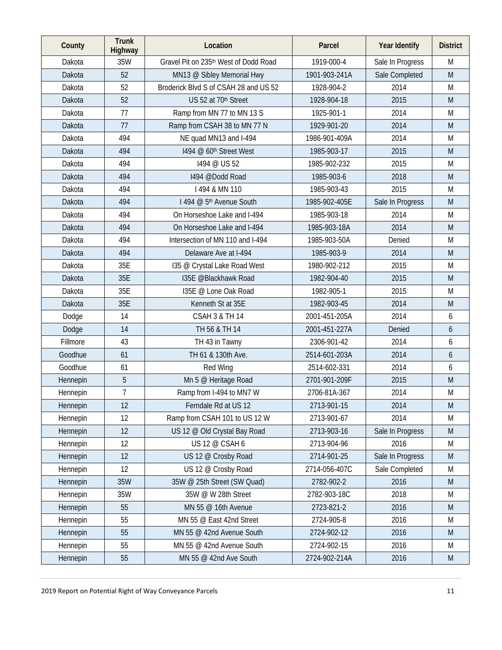| County   | <b>Trunk</b><br>Highway | Location                              | Parcel        | Year Identify    | <b>District</b> |
|----------|-------------------------|---------------------------------------|---------------|------------------|-----------------|
| Dakota   | 35W                     | Gravel Pit on 235th West of Dodd Road | 1919-000-4    | Sale In Progress | M               |
| Dakota   | 52                      | MN13 @ Sibley Memorial Hwy            | 1901-903-241A | Sale Completed   | M               |
| Dakota   | 52                      | Broderick Blvd S of CSAH 28 and US 52 | 1928-904-2    | 2014             | M               |
| Dakota   | 52                      | US 52 at 70th Street                  | 1928-904-18   | 2015             | M               |
| Dakota   | 77                      | Ramp from MN 77 to MN 13 S            | 1925-901-1    | 2014             | M               |
| Dakota   | 77                      | Ramp from CSAH 38 to MN 77 N          | 1929-901-20   | 2014             | M               |
| Dakota   | 494                     | NE quad MN13 and I-494                | 1986-901-409A | 2014             | M               |
| Dakota   | 494                     | 1494 @ 60th Street West               | 1985-903-17   | 2015             | M               |
| Dakota   | 494                     | 1494 @ US 52                          | 1985-902-232  | 2015             | M               |
| Dakota   | 494                     | 1494 @Dodd Road                       | 1985-903-6    | 2018             | M               |
| Dakota   | 494                     | I 494 & MN 110                        | 1985-903-43   | 2015             | M               |
| Dakota   | 494                     | 1494 @ 5 <sup>th</sup> Avenue South   | 1985-902-405E | Sale In Progress | M               |
| Dakota   | 494                     | On Horseshoe Lake and I-494           | 1985-903-18   | 2014             | M               |
| Dakota   | 494                     | On Horseshoe Lake and I-494           | 1985-903-18A  | 2014             | M               |
| Dakota   | 494                     | Intersection of MN 110 and I-494      | 1985-903-50A  | Denied           | M               |
| Dakota   | 494                     | Delaware Ave at I-494                 | 1985-903-9    | 2014             | M               |
| Dakota   | 35E                     | 135 @ Crystal Lake Road West          | 1980-902-212  | 2015             | M               |
| Dakota   | 35E                     | 135E @Blackhawk Road                  | 1982-904-40   | 2015             | M               |
| Dakota   | 35E                     | 135E @ Lone Oak Road                  | 1982-905-1    | 2015             | M               |
| Dakota   | 35E                     | Kenneth St at 35E                     | 1982-903-45   | 2014             | M               |
| Dodge    | 14                      | <b>CSAH 3 &amp; TH 14</b>             | 2001-451-205A | 2014             | 6               |
| Dodge    | 14                      | TH 56 & TH 14                         | 2001-451-227A | Denied           | 6               |
| Fillmore | 43                      | TH 43 in Tawny                        | 2306-901-42   | 2014             | 6               |
| Goodhue  | 61                      | TH 61 & 130th Ave.                    | 2514-601-203A | 2014             | 6               |
| Goodhue  | 61                      | Red Wing                              | 2514-602-331  | 2014             | 6               |
| Hennepin | 5                       | Mn 5 @ Heritage Road                  | 2701-901-209F | 2015             | M               |
| Hennepin | $\overline{7}$          | Ramp from I-494 to MN7 W              | 2706-81A-367  | 2014             | M               |
| Hennepin | 12                      | Ferndale Rd at US 12                  | 2713-901-15   | 2014             | M               |
| Hennepin | 12                      | Ramp from CSAH 101 to US 12 W         | 2713-901-67   | 2014             | M               |
| Hennepin | 12                      | US 12 @ Old Crystal Bay Road          | 2713-903-16   | Sale In Progress | M               |
| Hennepin | 12                      | US 12 @ CSAH 6                        | 2713-904-96   | 2016             | M               |
| Hennepin | 12                      | US 12 @ Crosby Road                   | 2714-901-25   | Sale In Progress | M               |
| Hennepin | 12                      | US 12 @ Crosby Road                   | 2714-056-407C | Sale Completed   | M               |
| Hennepin | 35W                     | 35W @ 25th Street (SW Quad)           | 2782-902-2    | 2016             | M               |
| Hennepin | 35W                     | 35W @ W 28th Street                   | 2782-903-18C  | 2018             | M               |
| Hennepin | 55                      | MN 55 @ 16th Avenue                   | 2723-821-2    | 2016             | M               |
| Hennepin | 55                      | MN 55 @ East 42nd Street              | 2724-905-8    | 2016             | M               |
| Hennepin | 55                      | MN 55 @ 42nd Avenue South             | 2724-902-12   | 2016             | M               |
| Hennepin | 55                      | MN 55 @ 42nd Avenue South             | 2724-902-15   | 2016             | M               |
| Hennepin | 55                      | MN 55 @ 42nd Ave South                | 2724-902-214A | 2016             | M               |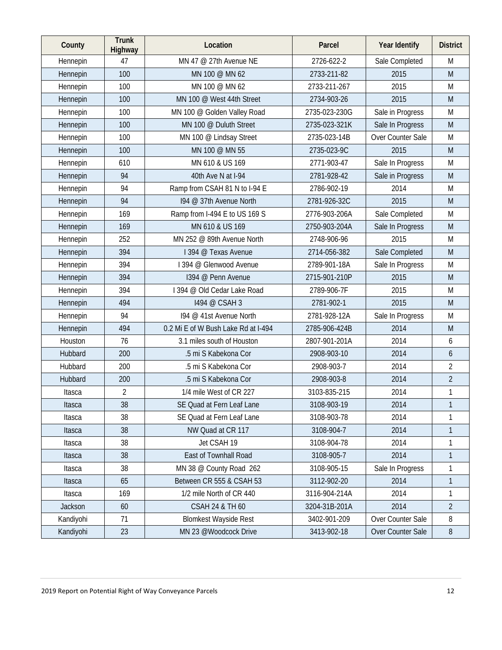| County    | <b>Trunk</b><br>Highway | Location                            | Parcel        | Year Identify     | <b>District</b> |
|-----------|-------------------------|-------------------------------------|---------------|-------------------|-----------------|
| Hennepin  | 47                      | MN 47 @ 27th Avenue NE              | 2726-622-2    | Sale Completed    | M               |
| Hennepin  | 100                     | MN 100 @ MN 62                      | 2733-211-82   | 2015              | M               |
| Hennepin  | 100                     | MN 100 @ MN 62                      | 2733-211-267  | 2015              | M               |
| Hennepin  | 100                     | MN 100 @ West 44th Street           | 2734-903-26   | 2015              | M               |
| Hennepin  | 100                     | MN 100 @ Golden Valley Road         | 2735-023-230G | Sale in Progress  | M               |
| Hennepin  | 100                     | MN 100 @ Duluth Street              | 2735-023-321K | Sale In Progress  | M               |
| Hennepin  | 100                     | MN 100 @ Lindsay Street             | 2735-023-14B  | Over Counter Sale | M               |
| Hennepin  | 100                     | MN 100 @ MN 55                      | 2735-023-9C   | 2015              | M               |
| Hennepin  | 610                     | MN 610 & US 169                     | 2771-903-47   | Sale In Progress  | M               |
| Hennepin  | 94                      | 40th Ave N at I-94                  | 2781-928-42   | Sale in Progress  | M               |
| Hennepin  | 94                      | Ramp from CSAH 81 N to I-94 E       | 2786-902-19   | 2014              | M               |
| Hennepin  | 94                      | 194 @ 37th Avenue North             | 2781-926-32C  | 2015              | M               |
| Hennepin  | 169                     | Ramp from I-494 E to US 169 S       | 2776-903-206A | Sale Completed    | M               |
| Hennepin  | 169                     | MN 610 & US 169                     | 2750-903-204A | Sale In Progress  | M               |
| Hennepin  | 252                     | MN 252 @ 89th Avenue North          | 2748-906-96   | 2015              | M               |
| Hennepin  | 394                     | 1394 @ Texas Avenue                 | 2714-056-382  | Sale Completed    | M               |
| Hennepin  | 394                     | 1394 @ Glenwood Avenue              | 2789-901-18A  | Sale In Progress  | M               |
| Hennepin  | 394                     | 1394 @ Penn Avenue                  | 2715-901-210P | 2015              | M               |
| Hennepin  | 394                     | I 394 @ Old Cedar Lake Road         | 2789-906-7F   | 2015              | M               |
| Hennepin  | 494                     | 1494 @ CSAH 3                       | 2781-902-1    | 2015              | M               |
| Hennepin  | 94                      | 194 @ 41st Avenue North             | 2781-928-12A  | Sale In Progress  | M               |
| Hennepin  | 494                     | 0.2 Mi E of W Bush Lake Rd at I-494 | 2785-906-424B | 2014              | M               |
| Houston   | 76                      | 3.1 miles south of Houston          | 2807-901-201A | 2014              | 6               |
| Hubbard   | 200                     | .5 mi S Kabekona Cor                | 2908-903-10   | 2014              | 6               |
| Hubbard   | 200                     | .5 mi S Kabekona Cor                | 2908-903-7    | 2014              | $\overline{2}$  |
| Hubbard   | 200                     | .5 mi S Kabekona Cor                | 2908-903-8    | 2014              | $\overline{2}$  |
| Itasca    | $\overline{2}$          | 1/4 mile West of CR 227             | 3103-835-215  | 2014              | $\mathbf{1}$    |
| Itasca    | 38                      | SE Quad at Fern Leaf Lane           | 3108-903-19   | 2014              |                 |
| Itasca    | 38                      | SE Quad at Fern Leaf Lane           | 3108-903-78   | 2014              | 1               |
| Itasca    | 38                      | NW Quad at CR 117                   | 3108-904-7    | 2014              | 1               |
| Itasca    | 38                      | Jet CSAH 19                         | 3108-904-78   | 2014              | 1               |
| Itasca    | 38                      | East of Townhall Road               | 3108-905-7    | 2014              | 1               |
| Itasca    | 38                      | MN 38 @ County Road 262             | 3108-905-15   | Sale In Progress  | 1               |
| Itasca    | 65                      | Between CR 555 & CSAH 53            | 3112-902-20   | 2014              | $\mathbf{1}$    |
| Itasca    | 169                     | 1/2 mile North of CR 440            | 3116-904-214A | 2014              | 1               |
| Jackson   | 60                      | <b>CSAH 24 &amp; TH 60</b>          | 3204-31B-201A | 2014              | $\overline{2}$  |
| Kandiyohi | 71                      | <b>Blomkest Wayside Rest</b>        | 3402-901-209  | Over Counter Sale | 8               |
| Kandiyohi | 23                      | MN 23 @Woodcock Drive               | 3413-902-18   | Over Counter Sale | $\, 8$          |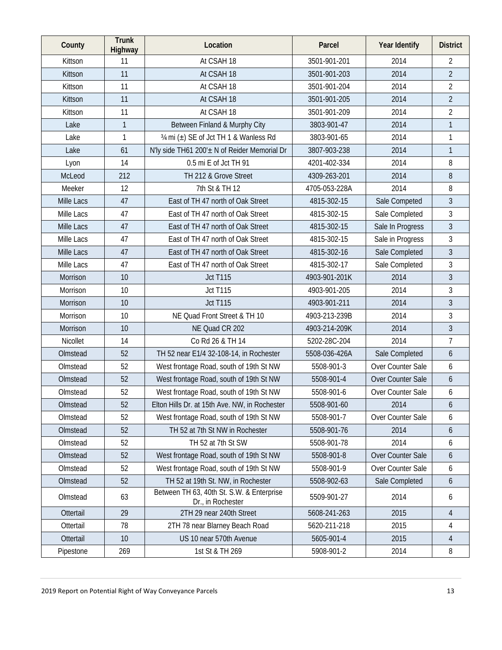| County     | <b>Trunk</b><br>Highway | Location                                                       | Parcel        | Year Identify     | <b>District</b> |
|------------|-------------------------|----------------------------------------------------------------|---------------|-------------------|-----------------|
| Kittson    | 11                      | At CSAH 18                                                     | 3501-901-201  | 2014              | 2               |
| Kittson    | 11                      | At CSAH 18                                                     | 3501-901-203  | 2014              | $\overline{2}$  |
| Kittson    | 11                      | At CSAH 18                                                     | 3501-901-204  | 2014              | $\overline{2}$  |
| Kittson    | 11                      | At CSAH 18                                                     | 3501-901-205  | 2014              | $\overline{2}$  |
| Kittson    | 11                      | At CSAH 18                                                     | 3501-901-209  | 2014              | $\overline{2}$  |
| Lake       | $\mathbf{1}$            | Between Finland & Murphy City                                  | 3803-901-47   | 2014              | $\mathbf{1}$    |
| Lake       | 1                       | 3/4 mi (±) SE of Jct TH 1 & Wanless Rd                         | 3803-901-65   | 2014              | $\mathbf{1}$    |
| Lake       | 61                      | N'ly side TH61 200'± N of Reider Memorial Dr                   | 3807-903-238  | 2014              | $\mathbf{1}$    |
| Lyon       | 14                      | 0.5 mi E of Jct TH 91                                          | 4201-402-334  | 2014              | 8               |
| McLeod     | 212                     | TH 212 & Grove Street                                          | 4309-263-201  | 2014              | 8               |
| Meeker     | 12                      | 7th St & TH 12                                                 | 4705-053-228A | 2014              | 8               |
| Mille Lacs | 47                      | East of TH 47 north of Oak Street                              | 4815-302-15   | Sale Competed     | $\overline{3}$  |
| Mille Lacs | 47                      | East of TH 47 north of Oak Street                              | 4815-302-15   | Sale Completed    | 3               |
| Mille Lacs | 47                      | East of TH 47 north of Oak Street                              | 4815-302-15   | Sale In Progress  | 3               |
| Mille Lacs | 47                      | East of TH 47 north of Oak Street                              | 4815-302-15   | Sale in Progress  | $\mathfrak{Z}$  |
| Mille Lacs | 47                      | East of TH 47 north of Oak Street                              | 4815-302-16   | Sale Completed    | 3               |
| Mille Lacs | 47                      | East of TH 47 north of Oak Street                              | 4815-302-17   | Sale Completed    | 3               |
| Morrison   | 10                      | <b>Jct T115</b>                                                | 4903-901-201K | 2014              | $\overline{3}$  |
| Morrison   | 10                      | <b>Jct T115</b>                                                | 4903-901-205  | 2014              | 3               |
| Morrison   | 10                      | <b>Jct T115</b>                                                | 4903-901-211  | 2014              | 3               |
| Morrison   | 10                      | NE Quad Front Street & TH 10                                   | 4903-213-239B | 2014              | 3               |
| Morrison   | 10                      | NE Quad CR 202                                                 | 4903-214-209K | 2014              | $\overline{3}$  |
| Nicollet   | 14                      | Co Rd 26 & TH 14                                               | 5202-28C-204  | 2014              | $\overline{7}$  |
| Olmstead   | 52                      | TH 52 near E1/4 32-108-14, in Rochester                        | 5508-036-426A | Sale Completed    | 6               |
| Olmstead   | 52                      | West frontage Road, south of 19th St NW                        | 5508-901-3    | Over Counter Sale | 6               |
| Olmstead   | 52                      | West frontage Road, south of 19th St NW                        | 5508-901-4    | Over Counter Sale | 6               |
| Olmstead   | 52                      | West frontage Road, south of 19th St NW                        | 5508-901-6    | Over Counter Sale | 6               |
| Olmstead   | 52                      | Elton Hills Dr. at 15th Ave. NW, in Rochester                  | 5508-901-60   | 2014              | 6               |
| Olmstead   | 52                      | West frontage Road, south of 19th St NW                        | 5508-901-7    | Over Counter Sale | 6               |
| Olmstead   | 52                      | TH 52 at 7th St NW in Rochester                                | 5508-901-76   | 2014              | 6               |
| Olmstead   | 52                      | TH 52 at 7th St SW                                             | 5508-901-78   | 2014              | 6               |
| Olmstead   | 52                      | West frontage Road, south of 19th St NW                        | 5508-901-8    | Over Counter Sale | 6               |
| Olmstead   | 52                      | West frontage Road, south of 19th St NW                        | 5508-901-9    | Over Counter Sale | 6               |
| Olmstead   | 52                      | TH 52 at 19th St. NW, in Rochester                             | 5508-902-63   | Sale Completed    | 6               |
| Olmstead   | 63                      | Between TH 63, 40th St. S.W. & Enterprise<br>Dr., in Rochester | 5509-901-27   | 2014              | 6               |
| Ottertail  | 29                      | 2TH 29 near 240th Street                                       | 5608-241-263  | 2015              | 4               |
| Ottertail  | 78                      | 2TH 78 near Blarney Beach Road                                 | 5620-211-218  | 2015              | 4               |
| Ottertail  | 10                      | US 10 near 570th Avenue                                        | 5605-901-4    | 2015              | 4               |
| Pipestone  | 269                     | 1st St & TH 269                                                | 5908-901-2    | 2014              | 8               |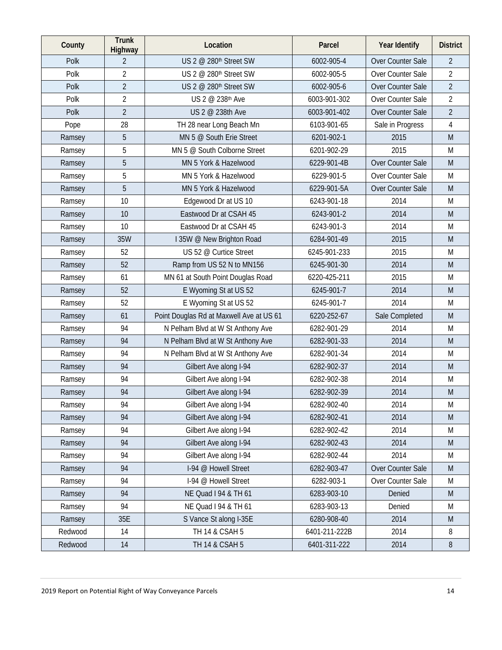| County  | <b>Trunk</b><br>Highway | Location                                 | Parcel        | Year Identify     | <b>District</b> |
|---------|-------------------------|------------------------------------------|---------------|-------------------|-----------------|
| Polk    | $\overline{2}$          | US 2 @ 280 <sup>th</sup> Street SW       | 6002-905-4    | Over Counter Sale | $\overline{2}$  |
| Polk    | $\overline{2}$          | US 2 @ 280th Street SW                   | 6002-905-5    | Over Counter Sale | $\overline{2}$  |
| Polk    | $\overline{2}$          | US 2 @ 280 <sup>th</sup> Street SW       | 6002-905-6    | Over Counter Sale | $\overline{2}$  |
| Polk    | $\overline{2}$          | US 2 @ 238th Ave                         | 6003-901-302  | Over Counter Sale | $\overline{2}$  |
| Polk    | $\overline{2}$          | US 2 @ 238th Ave                         | 6003-901-402  | Over Counter Sale | $\overline{2}$  |
| Pope    | 28                      | TH 28 near Long Beach Mn                 | 6103-901-65   | Sale in Progress  | 4               |
| Ramsey  | 5                       | MN 5 @ South Erie Street                 | 6201-902-1    | 2015              | M               |
| Ramsey  | 5                       | MN 5 @ South Colborne Street             | 6201-902-29   | 2015              | M               |
| Ramsey  | 5                       | MN 5 York & Hazelwood                    | 6229-901-4B   | Over Counter Sale | M               |
| Ramsey  | 5                       | MN 5 York & Hazelwood                    | 6229-901-5    | Over Counter Sale | M               |
| Ramsey  | 5                       | MN 5 York & Hazelwood                    | 6229-901-5A   | Over Counter Sale | M               |
| Ramsey  | 10                      | Edgewood Dr at US 10                     | 6243-901-18   | 2014              | M               |
| Ramsey  | 10                      | Eastwood Dr at CSAH 45                   | 6243-901-2    | 2014              | M               |
| Ramsey  | 10                      | Eastwood Dr at CSAH 45                   | 6243-901-3    | 2014              | M               |
| Ramsey  | 35W                     | I 35W @ New Brighton Road                | 6284-901-49   | 2015              | M               |
| Ramsey  | 52                      | US 52 @ Curtice Street                   | 6245-901-233  | 2015              | M               |
| Ramsey  | 52                      | Ramp from US 52 N to MN156               | 6245-901-30   | 2014              | M               |
| Ramsey  | 61                      | MN 61 at South Point Douglas Road        | 6220-425-211  | 2015              | M               |
| Ramsey  | 52                      | E Wyoming St at US 52                    | 6245-901-7    | 2014              | M               |
| Ramsey  | 52                      | E Wyoming St at US 52                    | 6245-901-7    | 2014              | M               |
| Ramsey  | 61                      | Point Douglas Rd at Maxwell Ave at US 61 | 6220-252-67   | Sale Completed    | M               |
| Ramsey  | 94                      | N Pelham Blvd at W St Anthony Ave        | 6282-901-29   | 2014              | M               |
| Ramsey  | 94                      | N Pelham Blvd at W St Anthony Ave        | 6282-901-33   | 2014              | M               |
| Ramsey  | 94                      | N Pelham Blvd at W St Anthony Ave        | 6282-901-34   | 2014              | M               |
| Ramsey  | 94                      | Gilbert Ave along I-94                   | 6282-902-37   | 2014              | M               |
| Ramsey  | 94                      | Gilbert Ave along I-94                   | 6282-902-38   | 2014              | M               |
| Ramsey  | 94                      | Gilbert Ave along I-94                   | 6282-902-39   | 2014              | M               |
| Ramsey  | 94                      | Gilbert Ave along I-94                   | 6282-902-40   | 2014              | M               |
| Ramsey  | 94                      | Gilbert Ave along I-94                   | 6282-902-41   | 2014              | M               |
| Ramsey  | 94                      | Gilbert Ave along I-94                   | 6282-902-42   | 2014              | M               |
| Ramsey  | 94                      | Gilbert Ave along I-94                   | 6282-902-43   | 2014              | M               |
| Ramsey  | 94                      | Gilbert Ave along I-94                   | 6282-902-44   | 2014              | M               |
| Ramsey  | 94                      | I-94 @ Howell Street                     | 6282-903-47   | Over Counter Sale | M               |
| Ramsey  | 94                      | I-94 @ Howell Street                     | 6282-903-1    | Over Counter Sale | M               |
| Ramsey  | 94                      | NE Quad I 94 & TH 61                     | 6283-903-10   | Denied            | ${\sf M}$       |
| Ramsey  | 94                      | NE Quad I 94 & TH 61                     | 6283-903-13   | Denied            | M               |
| Ramsey  | 35E                     | S Vance St along I-35E                   | 6280-908-40   | 2014              | M               |
| Redwood | 14                      | TH 14 & CSAH 5                           | 6401-211-222B | 2014              | 8               |
| Redwood | 14                      | TH 14 & CSAH 5                           | 6401-311-222  | 2014              | $\, 8$          |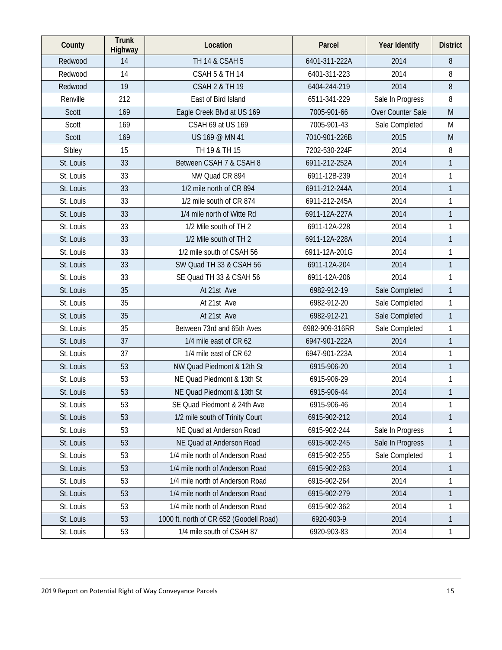| County       | <b>Trunk</b><br>Highway | Location                                | Parcel         | Year Identify     | <b>District</b> |
|--------------|-------------------------|-----------------------------------------|----------------|-------------------|-----------------|
| Redwood      | 14                      | TH 14 & CSAH 5                          | 6401-311-222A  | 2014              | 8               |
| Redwood      | 14                      | <b>CSAH 5 &amp; TH 14</b>               | 6401-311-223   | 2014              | 8               |
| Redwood      | 19                      | <b>CSAH 2 &amp; TH 19</b>               | 6404-244-219   | 2014              | 8               |
| Renville     | 212                     | East of Bird Island                     | 6511-341-229   | Sale In Progress  | 8               |
| Scott        | 169                     | Eagle Creek Blvd at US 169              | 7005-901-66    | Over Counter Sale | M               |
| Scott        | 169                     | CSAH 69 at US 169                       | 7005-901-43    | Sale Completed    | M               |
| <b>Scott</b> | 169                     | US 169 @ MN 41                          | 7010-901-226B  | 2015              | M               |
| Sibley       | 15                      | TH 19 & TH 15                           | 7202-530-224F  | 2014              | 8               |
| St. Louis    | 33                      | Between CSAH 7 & CSAH 8                 | 6911-212-252A  | 2014              | $\mathbf{1}$    |
| St. Louis    | 33                      | NW Quad CR 894                          | 6911-12B-239   | 2014              | $\mathbf{1}$    |
| St. Louis    | 33                      | 1/2 mile north of CR 894                | 6911-212-244A  | 2014              | $\mathbf{1}$    |
| St. Louis    | 33                      | 1/2 mile south of CR 874                | 6911-212-245A  | 2014              | 1               |
| St. Louis    | 33                      | 1/4 mile north of Witte Rd              | 6911-12A-227A  | 2014              | $\mathbf{1}$    |
| St. Louis    | 33                      | 1/2 Mile south of TH 2                  | 6911-12A-228   | 2014              | 1               |
| St. Louis    | 33                      | 1/2 Mile south of TH 2                  | 6911-12A-228A  | 2014              | $\mathbf{1}$    |
| St. Louis    | 33                      | 1/2 mile south of CSAH 56               | 6911-12A-201G  | 2014              | 1               |
| St. Louis    | 33                      | SW Quad TH 33 & CSAH 56                 | 6911-12A-204   | 2014              | $\mathbf{1}$    |
| St. Louis    | 33                      | SE Quad TH 33 & CSAH 56                 | 6911-12A-206   | 2014              | 1               |
| St. Louis    | 35                      | At 21st Ave                             | 6982-912-19    | Sale Completed    | $\mathbf{1}$    |
| St. Louis    | 35                      | At 21st Ave                             | 6982-912-20    | Sale Completed    | $\mathbf{1}$    |
| St. Louis    | 35                      | At 21st Ave                             | 6982-912-21    | Sale Completed    | $\mathbf{1}$    |
| St. Louis    | 35                      | Between 73rd and 65th Aves              | 6982-909-316RR | Sale Completed    | $\mathbf{1}$    |
| St. Louis    | 37                      | 1/4 mile east of CR 62                  | 6947-901-222A  | 2014              | $\mathbf{1}$    |
| St. Louis    | 37                      | 1/4 mile east of CR 62                  | 6947-901-223A  | 2014              | 1               |
| St. Louis    | 53                      | NW Quad Piedmont & 12th St              | 6915-906-20    | 2014              | $\mathbf{1}$    |
| St. Louis    | 53                      | NE Quad Piedmont & 13th St              | 6915-906-29    | 2014              | 1               |
| St. Louis    | 53                      | NE Quad Piedmont & 13th St              | 6915-906-44    | 2014              | $\mathbf{1}$    |
| St. Louis    | 53                      | SE Quad Piedmont & 24th Ave             | 6915-906-46    | 2014              | 1               |
| St. Louis    | 53                      | 1/2 mile south of Trinity Court         | 6915-902-212   | 2014              | $\mathbf{1}$    |
| St. Louis    | 53                      | NE Quad at Anderson Road                | 6915-902-244   | Sale In Progress  | 1               |
| St. Louis    | 53                      | NE Quad at Anderson Road                | 6915-902-245   | Sale In Progress  | $\mathbf{1}$    |
| St. Louis    | 53                      | 1/4 mile north of Anderson Road         | 6915-902-255   | Sale Completed    | 1               |
| St. Louis    | 53                      | 1/4 mile north of Anderson Road         | 6915-902-263   | 2014              | 1               |
| St. Louis    | 53                      | 1/4 mile north of Anderson Road         | 6915-902-264   | 2014              | 1               |
| St. Louis    | 53                      | 1/4 mile north of Anderson Road         | 6915-902-279   | 2014              | $\mathbf{1}$    |
| St. Louis    | 53                      | 1/4 mile north of Anderson Road         | 6915-902-362   | 2014              | 1               |
| St. Louis    | 53                      | 1000 ft. north of CR 652 (Goodell Road) | 6920-903-9     | 2014              | $\mathbf{1}$    |
| St. Louis    | 53                      | 1/4 mile south of CSAH 87               | 6920-903-83    | 2014              | 1               |